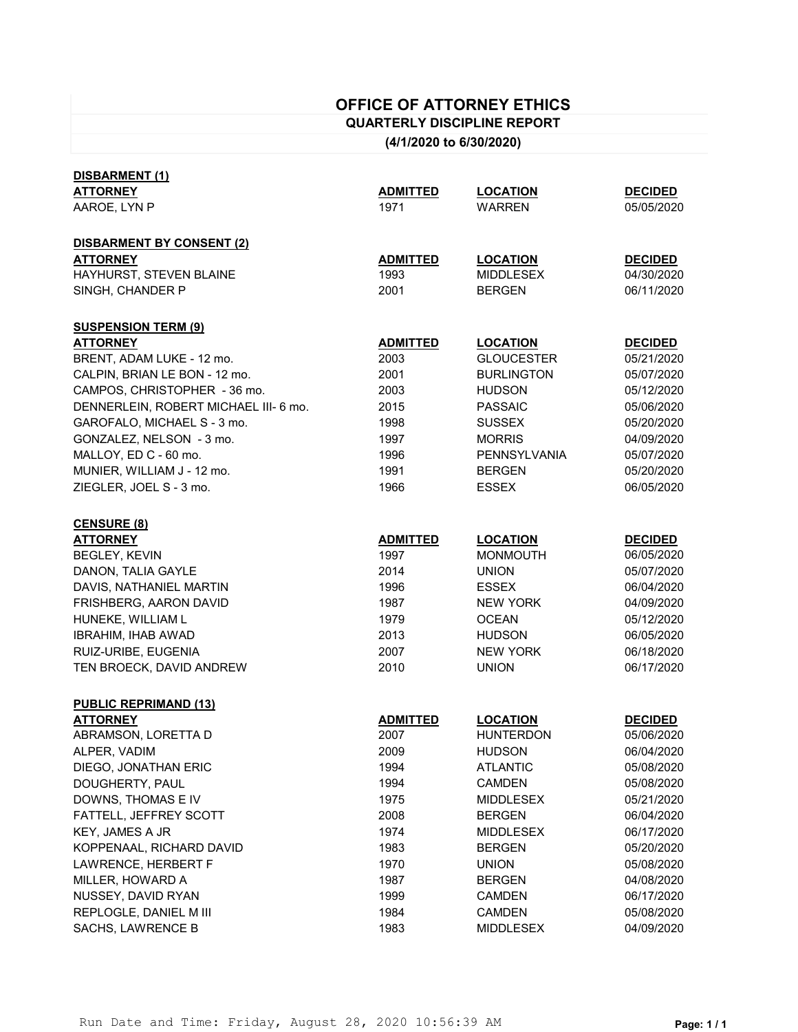# **OFFICE OF ATTORNEY ETHICS**

**QUARTERLY DISCIPLINE REPORT**

**(4/1/2020 to 6/30/2020)**

| <b>ATTORNEY</b>                      | <b>ADMITTED</b> | <b>LOCATION</b>     | <b>DECIDED</b> |
|--------------------------------------|-----------------|---------------------|----------------|
| AAROE, LYN P                         | 1971            | <b>WARREN</b>       | 05/05/2020     |
| <b>DISBARMENT BY CONSENT (2)</b>     |                 |                     |                |
| <b>ATTORNEY</b>                      | <b>ADMITTED</b> | <b>LOCATION</b>     | <b>DECIDED</b> |
| HAYHURST, STEVEN BLAINE              | 1993            | <b>MIDDLESEX</b>    | 04/30/2020     |
| SINGH, CHANDER P                     | 2001            | <b>BERGEN</b>       | 06/11/2020     |
| <b>SUSPENSION TERM (9)</b>           |                 |                     |                |
| <b>ATTORNEY</b>                      | <b>ADMITTED</b> | <b>LOCATION</b>     | <b>DECIDED</b> |
| BRENT, ADAM LUKE - 12 mo.            | 2003            | <b>GLOUCESTER</b>   | 05/21/2020     |
| CALPIN, BRIAN LE BON - 12 mo.        | 2001            | <b>BURLINGTON</b>   | 05/07/2020     |
| CAMPOS, CHRISTOPHER - 36 mo.         | 2003            | <b>HUDSON</b>       | 05/12/2020     |
| DENNERLEIN, ROBERT MICHAEL III-6 mo. | 2015            | <b>PASSAIC</b>      | 05/06/2020     |
| GAROFALO, MICHAEL S - 3 mo.          | 1998            | <b>SUSSEX</b>       | 05/20/2020     |
| GONZALEZ, NELSON - 3 mo.             | 1997            | <b>MORRIS</b>       | 04/09/2020     |
| MALLOY, ED C - 60 mo.                | 1996            | <b>PENNSYLVANIA</b> | 05/07/2020     |
| MUNIER, WILLIAM J - 12 mo.           | 1991            | <b>BERGEN</b>       | 05/20/2020     |
| ZIEGLER, JOEL S - 3 mo.              | 1966            | <b>ESSEX</b>        | 06/05/2020     |
| <b>CENSURE (8)</b>                   |                 |                     |                |
| <b>ATTORNEY</b>                      | <b>ADMITTED</b> | <b>LOCATION</b>     | <b>DECIDED</b> |
| <b>BEGLEY, KEVIN</b>                 | 1997            | <b>MONMOUTH</b>     | 06/05/2020     |
| DANON, TALIA GAYLE                   | 2014            | <b>UNION</b>        | 05/07/2020     |
| DAVIS, NATHANIEL MARTIN              | 1996            | <b>ESSEX</b>        | 06/04/2020     |
| FRISHBERG, AARON DAVID               | 1987            | <b>NEW YORK</b>     | 04/09/2020     |
| HUNEKE, WILLIAM L                    | 1979            | <b>OCEAN</b>        | 05/12/2020     |
| IBRAHIM, IHAB AWAD                   | 2013            | <b>HUDSON</b>       | 06/05/2020     |
| RUIZ-URIBE, EUGENIA                  | 2007            | <b>NEW YORK</b>     | 06/18/2020     |
| TEN BROECK, DAVID ANDREW             | 2010            | <b>UNION</b>        | 06/17/2020     |
| <b>PUBLIC REPRIMAND (13)</b>         |                 |                     |                |
| <b>ATTORNEY</b>                      | <b>ADMITTED</b> | <b>LOCATION</b>     | <b>DECIDED</b> |
| ABRAMSON, LORETTA D                  | 2007            | <b>HUNTERDON</b>    | 05/06/2020     |
| ALPER, VADIM                         | 2009            | <b>HUDSON</b>       | 06/04/2020     |
| DIEGO, JONATHAN ERIC                 | 1994            | <b>ATLANTIC</b>     | 05/08/2020     |
| DOUGHERTY, PAUL                      | 1994            | <b>CAMDEN</b>       | 05/08/2020     |
| DOWNS, THOMAS E IV                   | 1975            | <b>MIDDLESEX</b>    | 05/21/2020     |
| FATTELL, JEFFREY SCOTT               | 2008            | <b>BERGEN</b>       | 06/04/2020     |
| KEY, JAMES A JR                      | 1974            | <b>MIDDLESEX</b>    | 06/17/2020     |
| KOPPENAAL, RICHARD DAVID             | 1983            | <b>BERGEN</b>       | 05/20/2020     |
| LAWRENCE, HERBERT F                  | 1970            | <b>UNION</b>        | 05/08/2020     |
| MILLER, HOWARD A                     | 1987            | <b>BERGEN</b>       | 04/08/2020     |
| NUSSEY, DAVID RYAN                   | 1999            | <b>CAMDEN</b>       | 06/17/2020     |
| REPLOGLE, DANIEL M III               | 1984            | <b>CAMDEN</b>       | 05/08/2020     |
| SACHS, LAWRENCE B                    | 1983            | <b>MIDDLESEX</b>    | 04/09/2020     |

**DISBARMENT (1)**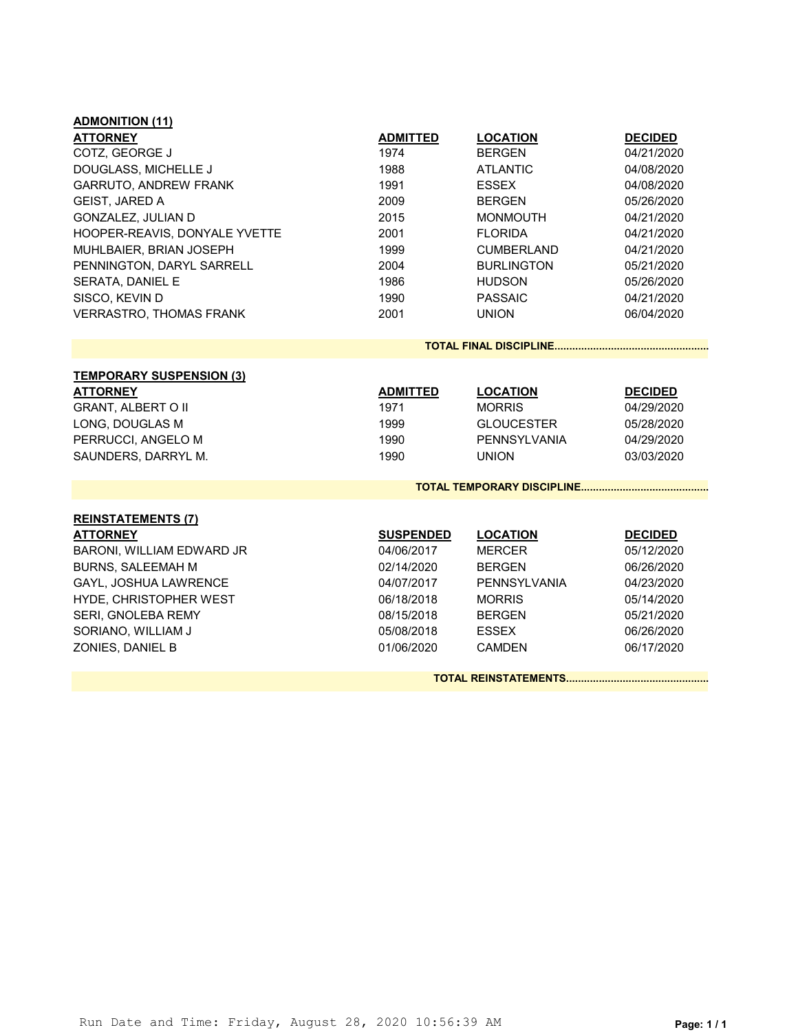| <b>ADMONITION (11)</b>          |                  |                            |                |  |
|---------------------------------|------------------|----------------------------|----------------|--|
| <b>ATTORNEY</b>                 | <b>ADMITTED</b>  | <b>LOCATION</b>            | <b>DECIDED</b> |  |
| COTZ, GEORGE J                  | 1974             | <b>BERGEN</b>              | 04/21/2020     |  |
| DOUGLASS, MICHELLE J            | 1988             | <b>ATLANTIC</b>            | 04/08/2020     |  |
| GARRUTO, ANDREW FRANK           | 1991             | <b>ESSEX</b>               | 04/08/2020     |  |
| <b>GEIST, JARED A</b>           | 2009             | <b>BERGEN</b>              | 05/26/2020     |  |
| GONZALEZ, JULIAN D              | 2015             | <b>MONMOUTH</b>            | 04/21/2020     |  |
| HOOPER-REAVIS, DONYALE YVETTE   | 2001             | <b>FLORIDA</b>             | 04/21/2020     |  |
| MUHLBAIER, BRIAN JOSEPH         | 1999             | <b>CUMBERLAND</b>          | 04/21/2020     |  |
| PENNINGTON, DARYL SARRELL       | 2004             | <b>BURLINGTON</b>          | 05/21/2020     |  |
| SERATA, DANIEL E                | 1986             | <b>HUDSON</b>              | 05/26/2020     |  |
| SISCO, KEVIN D                  | 1990             | <b>PASSAIC</b>             | 04/21/2020     |  |
| <b>VERRASTRO, THOMAS FRANK</b>  | 2001             | <b>UNION</b>               | 06/04/2020     |  |
|                                 |                  |                            |                |  |
|                                 |                  |                            |                |  |
| <b>TEMPORARY SUSPENSION (3)</b> |                  |                            |                |  |
| <b>ATTORNEY</b>                 | <b>ADMITTED</b>  | <b>LOCATION</b>            | <b>DECIDED</b> |  |
| <b>GRANT, ALBERT O II</b>       | 1971             | <b>MORRIS</b>              | 04/29/2020     |  |
| LONG, DOUGLAS M                 | 1999             | <b>GLOUCESTER</b>          | 05/28/2020     |  |
| PERRUCCI, ANGELO M              | 1990             | <b>PENNSYLVANIA</b>        | 04/29/2020     |  |
| SAUNDERS, DARRYL M.             | 1990             | <b>UNION</b>               | 03/03/2020     |  |
|                                 |                  | TOTAL TEMPORARY DISCIPLINE |                |  |
| <b>REINSTATEMENTS (7)</b>       |                  |                            |                |  |
| <b>ATTORNEY</b>                 | <b>SUSPENDED</b> | <b>LOCATION</b>            | <b>DECIDED</b> |  |
| BARONI, WILLIAM EDWARD JR       | 04/06/2017       | <b>MERCER</b>              | 05/12/2020     |  |
| <b>BURNS, SALEEMAH M</b>        | 02/14/2020       | <b>BERGEN</b>              | 06/26/2020     |  |
| GAYL, JOSHUA LAWRENCE           | 04/07/2017       | <b>PENNSYLVANIA</b>        | 04/23/2020     |  |
|                                 | 06/18/2018       | <b>MORRIS</b>              | 05/14/2020     |  |
| HYDE, CHRISTOPHER WEST          |                  |                            |                |  |
| SERI, GNOLEBA REMY              | 08/15/2018       | <b>BERGEN</b>              | 05/21/2020     |  |
| SORIANO, WILLIAM J              | 05/08/2018       | <b>ESSEX</b>               | 06/26/2020     |  |
| ZONIES, DANIEL B                | 01/06/2020       | <b>CAMDEN</b>              | 06/17/2020     |  |
|                                 |                  |                            |                |  |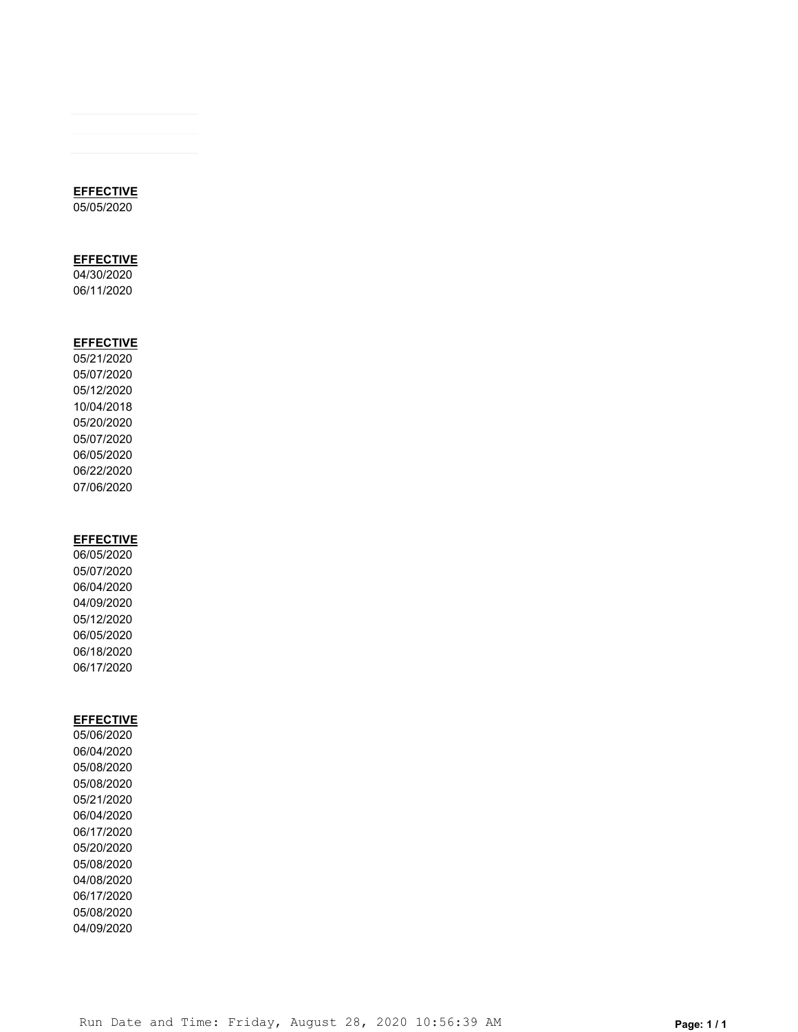## **EFFECTIVE**

05/05/2020

# **EFFECTIVE**

04/30/2020 06/11/2020

### **EFFECTIVE**

05/21/2020 05/07/2020 05/12/2020 10/04/2018 05/20/2020 05/07/2020 06/05/2020 06/22/2020 07/06/2020

## **EFFECTIVE**

06/05/2020 05/07/2020 06/04/2020 04/09/2020 05/12/2020 06/05/2020 06/18/2020 06/17/2020

### **EFFECTIVE**

05/06/2020 06/04/2020 05/08/2020 05/08/2020 05/21/2020 06/04/2020 06/17/2020 05/20/2020 05/08/2020 04/08/2020 06/17/2020 05/08/2020 04/09/2020